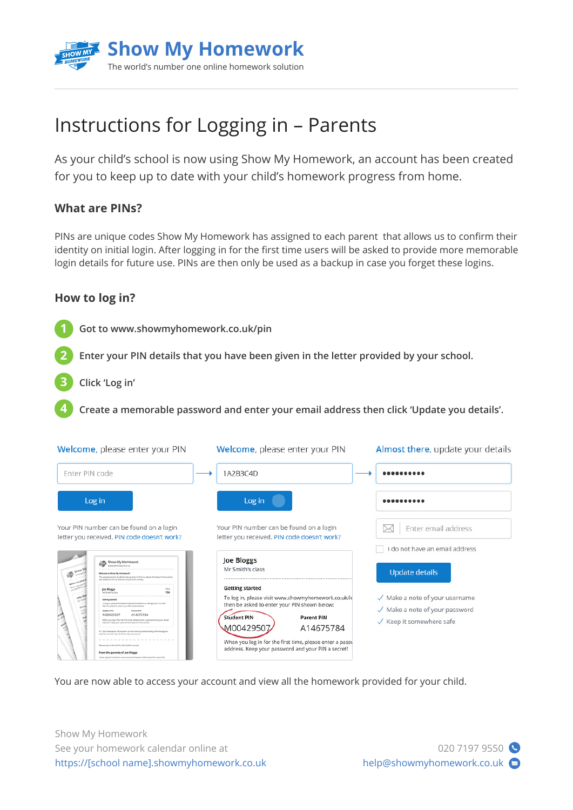

# Instructions for Logging in – Parents

As your child's school is now using Show My Homework, an account has been created for you to keep up to date with your child's homework progress from home.

## **What are PINs?**

PINs are unique codes Show My Homework has assigned to each parent that allows us to confirm their identity on initial login. After logging in for the first time users will be asked to provide more memorable login details for future use. PINs are then only be used as a backup in case you forget these logins.

### **How to log in?**

**Got to www.showmyhomework.co.uk/pin 1**

**Enter your PIN details that you have been given in the letter provided by your school.**

**Click 'Log in' 3**

**2**

**4**

**Create a memorable password and enter your email address then click 'Update you details'.**

| Welcome, please enter your PIN                                                                                                                                                                                                                                                                                                                                                                                                                                                                                                                                                                                                                                                                                                                | Welcome, please enter your PIN                                                                                                                                                                                                                                                                                       | Almost there, update your details                                                                                                  |
|-----------------------------------------------------------------------------------------------------------------------------------------------------------------------------------------------------------------------------------------------------------------------------------------------------------------------------------------------------------------------------------------------------------------------------------------------------------------------------------------------------------------------------------------------------------------------------------------------------------------------------------------------------------------------------------------------------------------------------------------------|----------------------------------------------------------------------------------------------------------------------------------------------------------------------------------------------------------------------------------------------------------------------------------------------------------------------|------------------------------------------------------------------------------------------------------------------------------------|
| Enter PIN code                                                                                                                                                                                                                                                                                                                                                                                                                                                                                                                                                                                                                                                                                                                                | 1A2B3C4D                                                                                                                                                                                                                                                                                                             |                                                                                                                                    |
| Log in                                                                                                                                                                                                                                                                                                                                                                                                                                                                                                                                                                                                                                                                                                                                        | Log in                                                                                                                                                                                                                                                                                                               |                                                                                                                                    |
| Your PIN number can be found on a login<br>letter you received. PIN code doesn't work?                                                                                                                                                                                                                                                                                                                                                                                                                                                                                                                                                                                                                                                        | Your PIN number can be found on a login<br>letter you received. PIN code doesn't work?                                                                                                                                                                                                                               | Enter email address                                                                                                                |
| Show My Homework<br><b>SEA STARK</b><br><b>Rollinger to Shire My Historynich!</b><br>The easiest way for students and parents to find out about homework instructions.<br>and deadlines set by teachers at EICHOOL NAMES                                                                                                                                                                                                                                                                                                                                                                                                                                                                                                                      | Joe Bloggs<br>Mr Smith's class                                                                                                                                                                                                                                                                                       | do not have an email address<br>Update details                                                                                     |
| Cata.<br>Joe Bloggs<br>10A<br>Mr Smith's dass<br><b>VALUE</b><br><b>Getting started</b><br>To log in, please and were showny homework os skringe ipin. You will<br>than be asked to enter your PW shown below.<br><b>CATOR</b><br><b><i><u>Student</u></i> PA</b><br><b>Parent PAY</b><br>M00429507<br>A14675784<br>When you log in for the first time, please enter a passwortl and your email<br>address, Keep your password and your PIN a secret<br>P.S. Get hamework information on the move by downloading the free app on<br>Android and IOS, Search Show My resmosant<br>Please noture this half for Mr. Gahiha records<br>From the parents of Joe Bloggs<br>I have signed in and can now receive homework information for class 158. | <b>Getting started</b><br>To log in, please visit www.showmyhomework.co.uk/lo<br>then be asked to enter your PIN shown below:<br><b>Student PIN</b><br><b>Parent PIN</b><br>M00429507<br>A14675784<br>When you log in for the first time, please enter a passy<br>address. Keep your password and your PIN a secret! | $\sqrt{\phantom{a}}$ Make a note of your username<br>$\sqrt{ }$ Make a note of your password<br>$\sqrt{\ }$ Keep it somewhere safe |

You are now able to access your account and view all the homework provided for your child.

Show My Homework See your homework calendar online at https://[school name].showmyhomework.co.uk